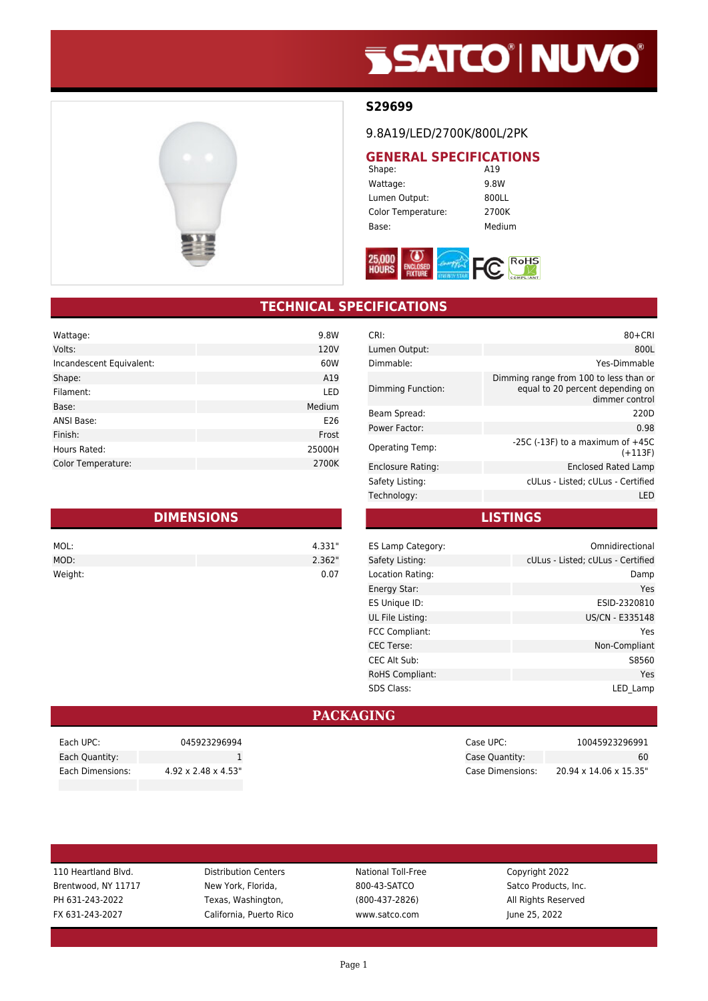# **SSATCO' NUVO'**



#### **S29699**

9.8A19/LED/2700K/800L/2PK

## **GENERAL SPECIFICATIONS**<br>Shape: **A19**

Shape: Wattage: 9.8W Lumen Output: 800LL Color Temperature: 2700K Base: Medium



### **TECHNICAL SPECIFICATIONS**

| Wattage:                 | 9.8W   |
|--------------------------|--------|
| Volts:                   | 120V   |
| Incandescent Equivalent: | 60W    |
| Shape:                   | A19    |
| Filament:                | LED    |
| Base:                    | Medium |
| ANSI Base:               | E26    |
| Finish:                  | Frost  |
| Hours Rated:             | 25000H |
| Color Temperature:       | 2700K  |

| <b>DIMENSIONS</b> |        |  |
|-------------------|--------|--|
| MOL:              | 4.331" |  |
| MOD:              | 2.362" |  |
| Weight:           | 0.07   |  |

| CRI:                   | $80 + CRI$                                                                                   |
|------------------------|----------------------------------------------------------------------------------------------|
| Lumen Output:          | 800L                                                                                         |
| Dimmable:              | Yes-Dimmable                                                                                 |
| Dimming Function:      | Dimming range from 100 to less than or<br>equal to 20 percent depending on<br>dimmer control |
| Beam Spread:           | 220D                                                                                         |
| Power Factor:          | 0.98                                                                                         |
| <b>Operating Temp:</b> | $-25C$ ( $-13F$ ) to a maximum of $+45C$<br>$(+113F)$                                        |
| Enclosure Rating:      | Enclosed Rated Lamp                                                                          |
| Safety Listing:        | cULus - Listed; cULus - Certified                                                            |
| Technology:            | LED                                                                                          |

**LISTINGS**

| ES Lamp Category:      | Omnidirectional                   |
|------------------------|-----------------------------------|
| Safety Listing:        | cULus - Listed; cULus - Certified |
| Location Rating:       | Damp                              |
| Energy Star:           | Yes                               |
| ES Unique ID:          | ESID-2320810                      |
| UL File Listing:       | US/CN - E335148                   |
| <b>FCC Compliant:</b>  | Yes                               |
| <b>CEC</b> Terse:      | Non-Compliant                     |
| <b>CEC Alt Sub:</b>    | S8560                             |
| <b>RoHS Compliant:</b> | Yes                               |
| <b>SDS Class:</b>      | LED Lamp                          |

#### **PACKAGING**

| 045923296994<br>Each UPC:                            |
|------------------------------------------------------|
| Each Quantity:                                       |
| $4.92 \times 2.48 \times 4.53$ "<br>Each Dimensions: |

110 Heartland Blvd. **Distribution Centers** National Toll-Free Copyright 2022 Brentwood, NY 11717 New York, Florida, 800-43-SATCO Satco Products, Inc. PH 631-243-2022 Texas, Washington, (800-437-2826) All Rights Reserved FX 631-243-2027 California, Puerto Rico www.satco.com June 25, 2022